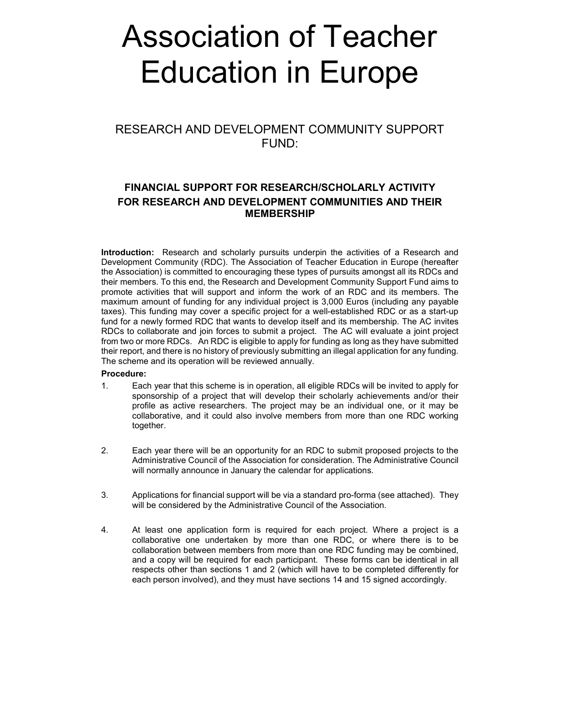# Association of Teacher Education in Europe

RESEARCH AND DEVELOPMENT COMMUNITY SUPPORT FUND:

# FINANCIAL SUPPORT FOR RESEARCH/SCHOLARLY ACTIVITY FOR RESEARCH AND DEVELOPMENT COMMUNITIES AND THEIR MEMBERSHIP

Introduction: Research and scholarly pursuits underpin the activities of a Research and Development Community (RDC). The Association of Teacher Education in Europe (hereafter the Association) is committed to encouraging these types of pursuits amongst all its RDCs and their members. To this end, the Research and Development Community Support Fund aims to promote activities that will support and inform the work of an RDC and its members. The maximum amount of funding for any individual project is 3,000 Euros (including any payable taxes). This funding may cover a specific project for a well-established RDC or as a start-up fund for a newly formed RDC that wants to develop itself and its membership. The AC invites RDCs to collaborate and join forces to submit a project. The AC will evaluate a joint project from two or more RDCs. An RDC is eligible to apply for funding as long as they have submitted their report, and there is no history of previously submitting an illegal application for any funding. The scheme and its operation will be reviewed annually.

### Procedure:

- 1. Each year that this scheme is in operation, all eligible RDCs will be invited to apply for sponsorship of a project that will develop their scholarly achievements and/or their profile as active researchers. The project may be an individual one, or it may be collaborative, and it could also involve members from more than one RDC working together.
- 2. Each year there will be an opportunity for an RDC to submit proposed projects to the Administrative Council of the Association for consideration. The Administrative Council will normally announce in January the calendar for applications.
- 3. Applications for financial support will be via a standard pro-forma (see attached). They will be considered by the Administrative Council of the Association.
- 4. At least one application form is required for each project. Where a project is a collaborative one undertaken by more than one RDC, or where there is to be collaboration between members from more than one RDC funding may be combined, and a copy will be required for each participant. These forms can be identical in all respects other than sections 1 and 2 (which will have to be completed differently for each person involved), and they must have sections 14 and 15 signed accordingly.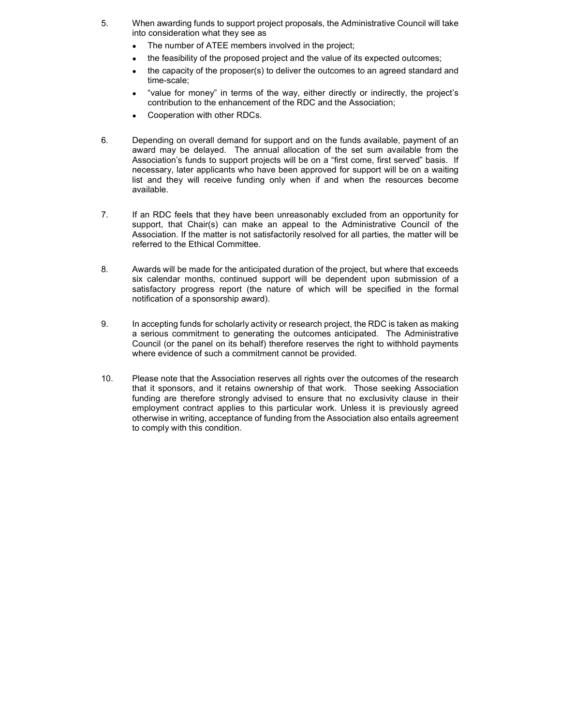- 5. When awarding funds to support project proposals, the Administrative Council will take into consideration what they see as
	- The number of ATEE members involved in the project;
	- the feasibility of the proposed project and the value of its expected outcomes;
	- the capacity of the proposer(s) to deliver the outcomes to an agreed standard and time-scale;
	- "value for money" in terms of the way, either directly or indirectly, the project's contribution to the enhancement of the RDC and the Association;
	- Cooperation with other RDCs.
- 6. Depending on overall demand for support and on the funds available, payment of an award may be delayed. The annual allocation of the set sum available from the Association's funds to support projects will be on a "first come, first served" basis. If necessary, later applicants who have been approved for support will be on a waiting list and they will receive funding only when if and when the resources become available.
- 7. If an RDC feels that they have been unreasonably excluded from an opportunity for support, that Chair(s) can make an appeal to the Administrative Council of the Association. If the matter is not satisfactorily resolved for all parties, the matter will be referred to the Ethical Committee.
- 8. Awards will be made for the anticipated duration of the project, but where that exceeds six calendar months, continued support will be dependent upon submission of a satisfactory progress report (the nature of which will be specified in the formal notification of a sponsorship award).
- 9. In accepting funds for scholarly activity or research project, the RDC is taken as making a serious commitment to generating the outcomes anticipated. The Administrative Council (or the panel on its behalf) therefore reserves the right to withhold payments where evidence of such a commitment cannot be provided.
- 10. Please note that the Association reserves all rights over the outcomes of the research that it sponsors, and it retains ownership of that work. Those seeking Association funding are therefore strongly advised to ensure that no exclusivity clause in their employment contract applies to this particular work. Unless it is previously agreed otherwise in writing, acceptance of funding from the Association also entails agreement to comply with this condition.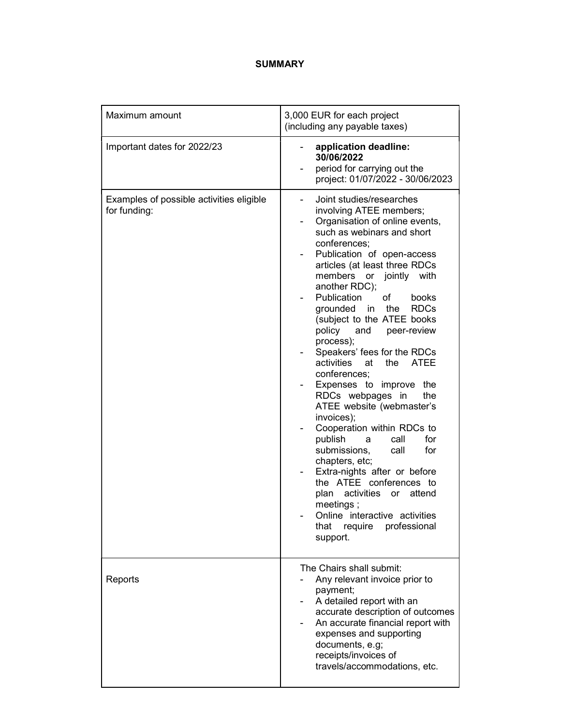## SUMMARY

| Maximum amount                                           | 3,000 EUR for each project<br>(including any payable taxes)                                                                                                                                                                                                                                                                                                                                                                                                                                                                                                                                                                                                                                                                                                                                                                                                                                  |
|----------------------------------------------------------|----------------------------------------------------------------------------------------------------------------------------------------------------------------------------------------------------------------------------------------------------------------------------------------------------------------------------------------------------------------------------------------------------------------------------------------------------------------------------------------------------------------------------------------------------------------------------------------------------------------------------------------------------------------------------------------------------------------------------------------------------------------------------------------------------------------------------------------------------------------------------------------------|
| Important dates for 2022/23                              | application deadline:<br>30/06/2022<br>period for carrying out the<br>project: 01/07/2022 - 30/06/2023                                                                                                                                                                                                                                                                                                                                                                                                                                                                                                                                                                                                                                                                                                                                                                                       |
| Examples of possible activities eligible<br>for funding: | Joint studies/researches<br>involving ATEE members;<br>Organisation of online events,<br>such as webinars and short<br>conferences;<br>Publication of open-access<br>articles (at least three RDCs<br>members or jointly with<br>another RDC);<br>Publication<br>of<br>books<br>grounded in<br>the<br><b>RDCs</b><br>(subject to the ATEE books<br>policy and<br>peer-review<br>process);<br>Speakers' fees for the RDCs<br>activities<br><b>ATEE</b><br>at<br>the<br>conferences;<br>Expenses to improve the<br>RDCs webpages in<br>the<br>ATEE website (webmaster's<br>invoices);<br>Cooperation within RDCs to<br>publish<br>for<br>call<br>a<br>submissions.<br>for<br>call<br>chapters, etc;<br>Extra-nights after or before<br>the ATEE conferences to<br>activities<br>plan<br>attend<br>or<br>meetings;<br>Online interactive activities<br>require professional<br>that<br>support. |
| Reports                                                  | The Chairs shall submit:<br>Any relevant invoice prior to<br>payment;<br>A detailed report with an<br>accurate description of outcomes<br>An accurate financial report with<br>expenses and supporting<br>documents, e.g;<br>receipts/invoices of<br>travels/accommodations, etc.                                                                                                                                                                                                                                                                                                                                                                                                                                                                                                                                                                                                            |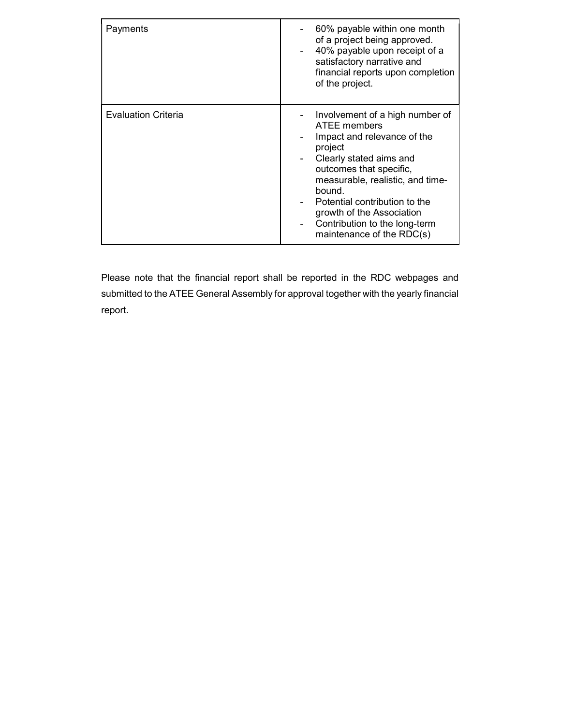| Payments                   | 60% payable within one month<br>of a project being approved.<br>40% payable upon receipt of a<br>satisfactory narrative and<br>financial reports upon completion<br>of the project.                                                                                                                                       |
|----------------------------|---------------------------------------------------------------------------------------------------------------------------------------------------------------------------------------------------------------------------------------------------------------------------------------------------------------------------|
| <b>Evaluation Criteria</b> | Involvement of a high number of<br>ATEE members<br>Impact and relevance of the<br>project<br>Clearly stated aims and<br>outcomes that specific,<br>measurable, realistic, and time-<br>bound.<br>Potential contribution to the<br>growth of the Association<br>Contribution to the long-term<br>maintenance of the RDC(s) |

Please note that the financial report shall be reported in the RDC webpages and submitted to the ATEE General Assembly for approval together with the yearly financial report.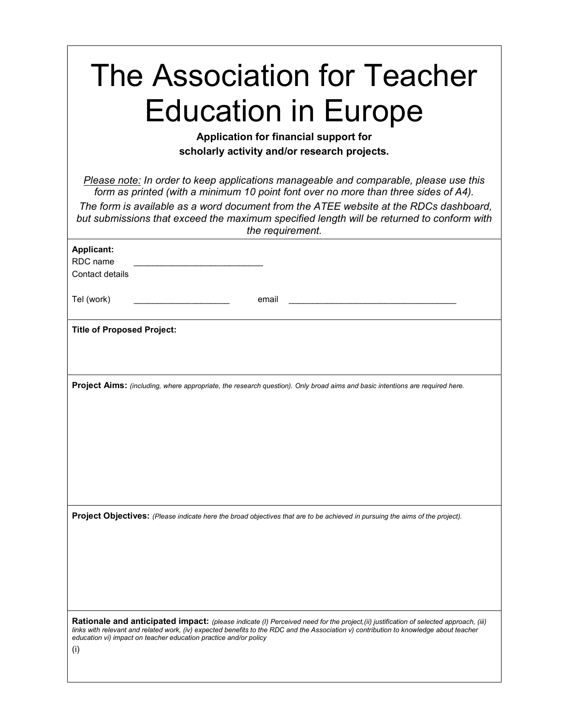| The Association for Teacher<br><b>Education in Europe</b><br>Application for financial support for<br>scholarly activity and/or research projects.                                                                                                                                                                                                                                     |  |  |
|----------------------------------------------------------------------------------------------------------------------------------------------------------------------------------------------------------------------------------------------------------------------------------------------------------------------------------------------------------------------------------------|--|--|
| Please note: In order to keep applications manageable and comparable, please use this<br>form as printed (with a minimum 10 point font over no more than three sides of A4).<br>The form is available as a word document from the ATEE website at the RDCs dashboard.<br>but submissions that exceed the maximum specified length will be returned to conform with<br>the requirement. |  |  |
| <b>Applicant:</b>                                                                                                                                                                                                                                                                                                                                                                      |  |  |
| RDC name<br>Contact details                                                                                                                                                                                                                                                                                                                                                            |  |  |
| Tel (work)<br>email                                                                                                                                                                                                                                                                                                                                                                    |  |  |
| <b>Title of Proposed Project:</b>                                                                                                                                                                                                                                                                                                                                                      |  |  |
| <b>Project Aims:</b> (including, where appropriate, the research question). Only broad aims and basic intentions are required here.                                                                                                                                                                                                                                                    |  |  |
| <b>Project Objectives:</b> (Please indicate here the broad objectives that are to be achieved in pursuing the aims of the project).                                                                                                                                                                                                                                                    |  |  |
| Rationale and anticipated impact: (please indicate (I) Perceived need for the project, (ii) justification of selected approach, (iii)<br>links with relevant and related work, (iv) expected benefits to the RDC and the Association v) contribution to knowledge about teacher<br>education vi) impact on teacher education practice and/or policy<br>(i)                             |  |  |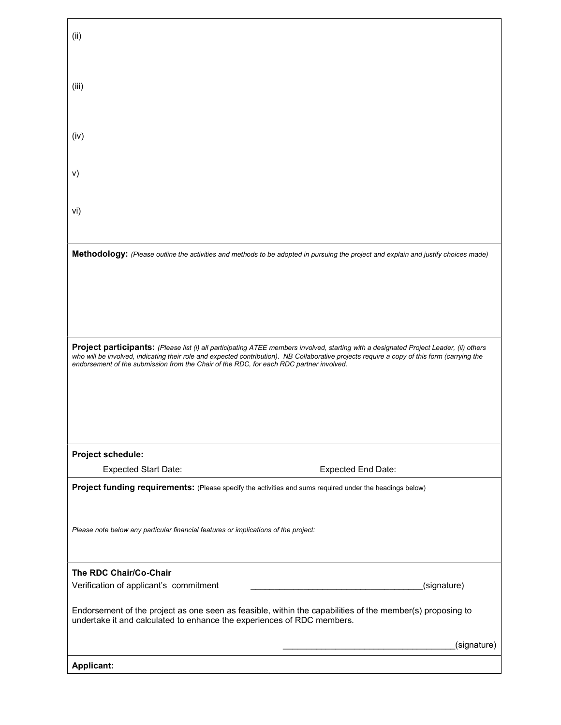| (ii)                                                                                                                                                                                                                                                                                                                                                                             |                           |  |
|----------------------------------------------------------------------------------------------------------------------------------------------------------------------------------------------------------------------------------------------------------------------------------------------------------------------------------------------------------------------------------|---------------------------|--|
|                                                                                                                                                                                                                                                                                                                                                                                  |                           |  |
| (iii)                                                                                                                                                                                                                                                                                                                                                                            |                           |  |
|                                                                                                                                                                                                                                                                                                                                                                                  |                           |  |
| (iv)                                                                                                                                                                                                                                                                                                                                                                             |                           |  |
| v)                                                                                                                                                                                                                                                                                                                                                                               |                           |  |
|                                                                                                                                                                                                                                                                                                                                                                                  |                           |  |
| vi)                                                                                                                                                                                                                                                                                                                                                                              |                           |  |
|                                                                                                                                                                                                                                                                                                                                                                                  |                           |  |
| Methodology: (Please outline the activities and methods to be adopted in pursuing the project and explain and justify choices made)                                                                                                                                                                                                                                              |                           |  |
|                                                                                                                                                                                                                                                                                                                                                                                  |                           |  |
|                                                                                                                                                                                                                                                                                                                                                                                  |                           |  |
|                                                                                                                                                                                                                                                                                                                                                                                  |                           |  |
| Project participants: (Please list (i) all participating ATEE members involved, starting with a designated Project Leader, (ii) others<br>who will be involved, indicating their role and expected contribution). NB Collaborative projects require a copy of this form (carrying the<br>endorsement of the submission from the Chair of the RDC, for each RDC partner involved. |                           |  |
|                                                                                                                                                                                                                                                                                                                                                                                  |                           |  |
|                                                                                                                                                                                                                                                                                                                                                                                  |                           |  |
|                                                                                                                                                                                                                                                                                                                                                                                  |                           |  |
| Project schedule:                                                                                                                                                                                                                                                                                                                                                                |                           |  |
| <b>Expected Start Date:</b>                                                                                                                                                                                                                                                                                                                                                      | <b>Expected End Date:</b> |  |
| Project funding requirements: (Please specify the activities and sums required under the headings below)                                                                                                                                                                                                                                                                         |                           |  |
| Please note below any particular financial features or implications of the project:                                                                                                                                                                                                                                                                                              |                           |  |
| The RDC Chair/Co-Chair                                                                                                                                                                                                                                                                                                                                                           |                           |  |
| Verification of applicant's commitment                                                                                                                                                                                                                                                                                                                                           | (signature)               |  |
| Endorsement of the project as one seen as feasible, within the capabilities of the member(s) proposing to<br>undertake it and calculated to enhance the experiences of RDC members.                                                                                                                                                                                              |                           |  |
|                                                                                                                                                                                                                                                                                                                                                                                  | (signature)               |  |
| <b>Applicant:</b>                                                                                                                                                                                                                                                                                                                                                                |                           |  |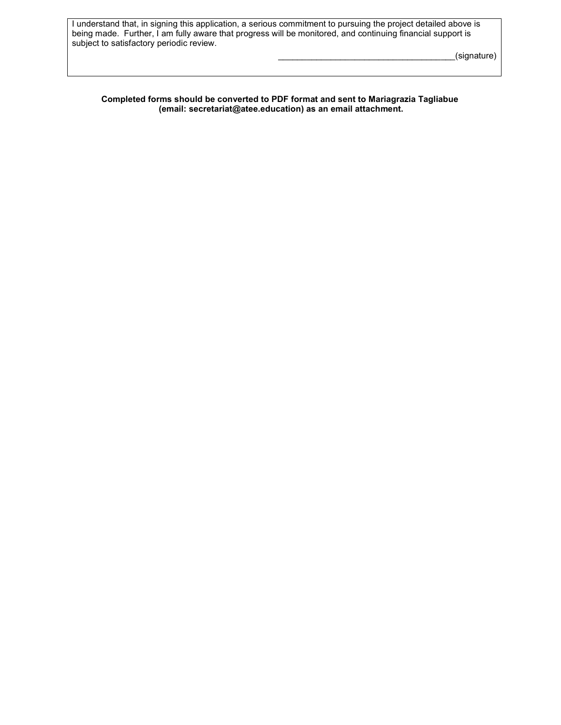I understand that, in signing this application, a serious commitment to pursuing the project detailed above is being made. Further, I am fully aware that progress will be monitored, and continuing financial support is subject to satisfactory periodic review.

 $_$ frac{1}{2}

#### Completed forms should be converted to PDF format and sent to Mariagrazia Tagliabue (email: secretariat@atee.education) as an email attachment.